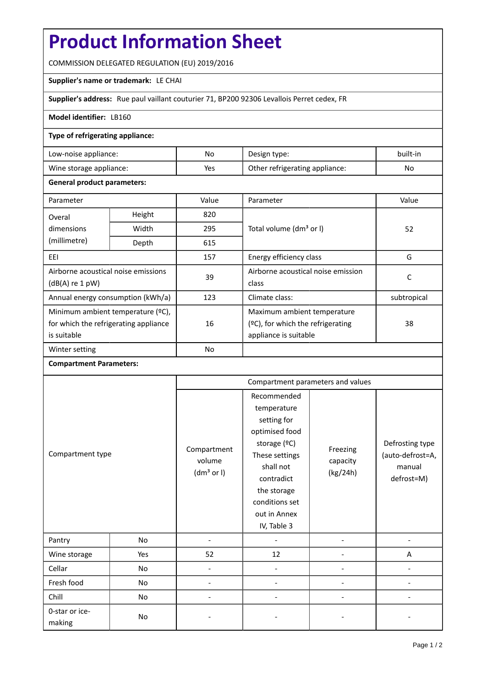# **Product Information Sheet**

COMMISSION DELEGATED REGULATION (EU) 2019/2016

## **Supplier's name or trademark:** LE CHAI

**Supplier's address:** Rue paul vaillant couturier 71, BP200 92306 Levallois Perret cedex, FR

## **Model identifier:** LB160

## **Type of refrigerating appliance:**

| Low-noise appliance:    | No. | Design type:                   | built-in |
|-------------------------|-----|--------------------------------|----------|
| Wine storage appliance: | Yes | Other refrigerating appliance: | No       |

## **General product parameters:**

| Parameter                             |               | Value     | Parameter                            | Value       |  |
|---------------------------------------|---------------|-----------|--------------------------------------|-------------|--|
| Overal                                | Height<br>820 |           |                                      |             |  |
| dimensions                            | Width         | 295       | Total volume (dm <sup>3</sup> or I)  | 52          |  |
| (millimetre)                          | Depth         | 615       |                                      |             |  |
| EEI                                   |               | 157       | Energy efficiency class              | G           |  |
| Airborne acoustical noise emissions   |               | 39        | Airborne acoustical noise emission   | C           |  |
| $(dB(A)$ re 1 pW)                     |               |           | class                                |             |  |
| Annual energy consumption (kWh/a)     |               | 123       | Climate class:                       | subtropical |  |
| Minimum ambient temperature (°C),     |               |           | Maximum ambient temperature          |             |  |
| for which the refrigerating appliance |               | 16        | $(°C)$ , for which the refrigerating | 38          |  |
| is suitable                           |               |           | appliance is suitable                |             |  |
| Winter setting                        |               | <b>No</b> |                                      |             |  |

#### **Compartment Parameters:**

| Compartment type         |     | Compartment parameters and values               |                                                                                                                                                                                          |                                  |                                                             |
|--------------------------|-----|-------------------------------------------------|------------------------------------------------------------------------------------------------------------------------------------------------------------------------------------------|----------------------------------|-------------------------------------------------------------|
|                          |     | Compartment<br>volume<br>(dm <sup>3</sup> or I) | Recommended<br>temperature<br>setting for<br>optimised food<br>storage (°C)<br>These settings<br>shall not<br>contradict<br>the storage<br>conditions set<br>out in Annex<br>IV, Table 3 | Freezing<br>capacity<br>(kg/24h) | Defrosting type<br>(auto-defrost=A,<br>manual<br>defrost=M) |
| Pantry                   | No  |                                                 |                                                                                                                                                                                          |                                  |                                                             |
| Wine storage             | Yes | 52                                              | 12                                                                                                                                                                                       |                                  | A                                                           |
| Cellar                   | No  | $\overline{\phantom{a}}$                        |                                                                                                                                                                                          |                                  |                                                             |
| Fresh food               | No  |                                                 |                                                                                                                                                                                          |                                  |                                                             |
| Chill                    | No  |                                                 |                                                                                                                                                                                          |                                  |                                                             |
| 0-star or ice-<br>making | No  |                                                 |                                                                                                                                                                                          |                                  |                                                             |